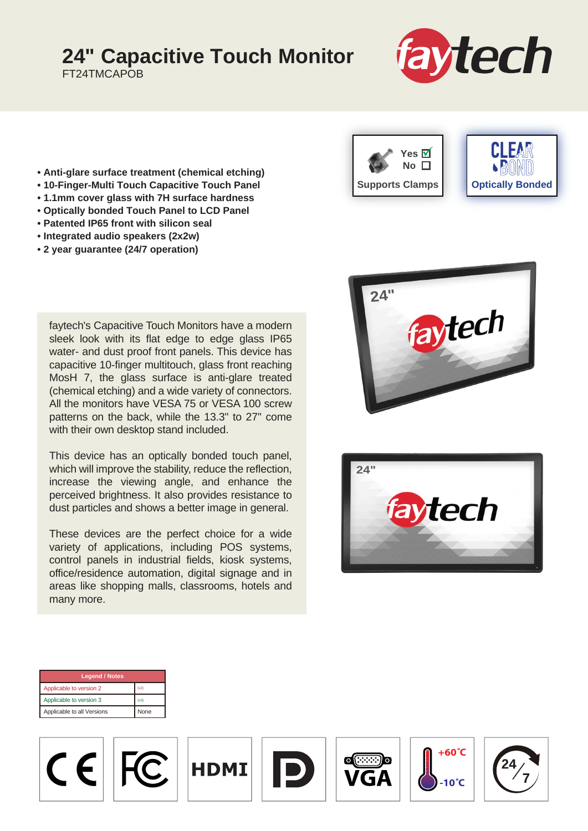## **24" Capacitive Touch Monitor**

FT24TMCAPOB



- **Anti-glare surface treatment (chemical etching)**
- **10-Finger-Multi Touch Capacitive Touch Panel**
- **1.1mm cover glass with 7H surface hardness**
- **Optically bonded Touch Panel to LCD Panel**
- **Patented IP65 front with silicon seal**
- **Integrated audio speakers (2x2w)**
- **2 year guarantee (24/7 operation)**

faytech's Capacitive Touch Monitors have a modern sleek look with its flat edge to edge glass IP65 water- and dust proof front panels. This device has capacitive 10-finger multitouch, glass front reaching MosH 7, the glass surface is anti-glare treated (chemical etching) and a wide variety of connectors. All the monitors have VESA 75 or VESA 100 screw patterns on the back, while the 13.3" to 27" come with their own desktop stand included.

This device has an optically bonded touch panel, which will improve the stability, reduce the reflection, increase the viewing angle, and enhance the perceived brightness. It also provides resistance to dust particles and shows a better image in general.

These devices are the perfect choice for a wide variety of applications, including POS systems, control panels in industrial fields, kiosk systems, office/residence automation, digital signage and in areas like shopping malls, classrooms, hotels and many more.







| <b>Legend / Notes</b>      |      |  |
|----------------------------|------|--|
| Applicable to version 2    | (v2) |  |
| Applicable to version 3    | (v3) |  |
| Applicable to all Versions | None |  |

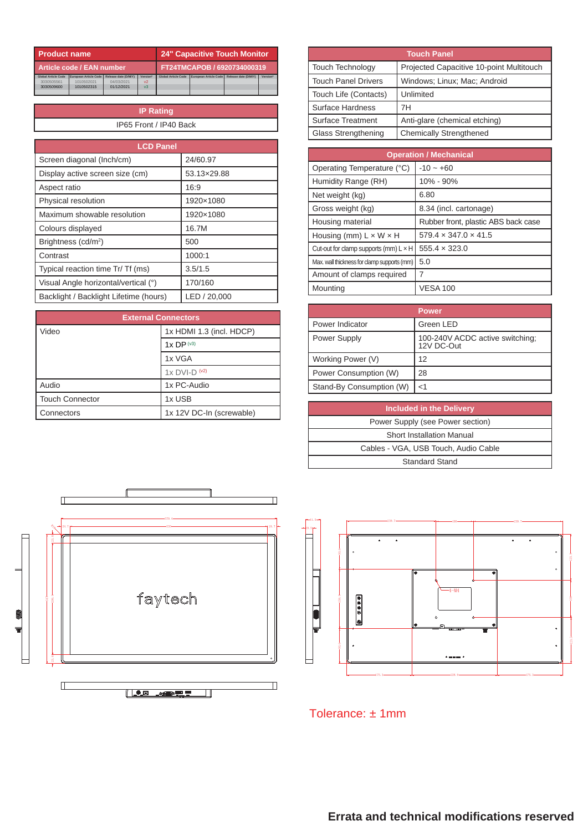| <b>Product name</b>        |                       |                             | <b>24" Capacitive Touch Monitor</b> |                            |                       |                      |          |
|----------------------------|-----------------------|-----------------------------|-------------------------------------|----------------------------|-----------------------|----------------------|----------|
| Article code / EAN number  |                       | FT24TMCAPOB / 6920734000319 |                                     |                            |                       |                      |          |
| <b>Global Article Code</b> | European Article Code | Release date (D/M/Y)        | <b>Version*</b>                     | <b>Global Article Code</b> | European Article Code | Release date (D/M/Y) | Version* |
| 3030505561                 | 1010502021            | 04/03/2021                  | V <sup>2</sup>                      |                            |                       |                      |          |
| 3030509600                 | 1010502315            | 01/12/2021                  | v <sup>3</sup>                      |                            |                       |                      |          |
|                            |                       |                             |                                     |                            |                       |                      |          |

**IP Rating** IP65 Front / IP40 Back

| <b>LCD Panel</b>                       |              |  |
|----------------------------------------|--------------|--|
| Screen diagonal (Inch/cm)              | 24/60.97     |  |
| Display active screen size (cm)        | 53.13×29.88  |  |
| Aspect ratio                           | 16:9         |  |
| Physical resolution                    | 1920×1080    |  |
| Maximum showable resolution            | 1920×1080    |  |
| Colours displayed                      | 16.7M        |  |
| Brightness (cd/m <sup>2</sup> )        | 500          |  |
| Contrast                               | 1000:1       |  |
| Typical reaction time Tr/ Tf (ms)      | 3.5/1.5      |  |
| Visual Angle horizontal/vertical (°)   | 170/160      |  |
| Backlight / Backlight Lifetime (hours) | LED / 20,000 |  |

| <b>External Connectors</b> |                          |  |
|----------------------------|--------------------------|--|
| Video                      | 1x HDMI 1.3 (incl. HDCP) |  |
|                            | $1x$ DP $(v3)$           |  |
|                            | 1x VGA                   |  |
|                            | $1x$ DVI-D $(42)$        |  |
| Audio                      | 1x PC-Audio              |  |
| <b>Touch Connector</b>     | 1x USB                   |  |
| Connectors                 | 1x 12V DC-In (screwable) |  |

| <b>Touch Panel</b>         |                                          |  |
|----------------------------|------------------------------------------|--|
| <b>Touch Technology</b>    | Projected Capacitive 10-point Multitouch |  |
| <b>Touch Panel Drivers</b> | Windows: Linux: Mac: Android             |  |
| Touch Life (Contacts)      | Unlimited                                |  |
| Surface Hardness           | 7H                                       |  |
| <b>Surface Treatment</b>   | Anti-glare (chemical etching)            |  |
| Glass Strengthening        | <b>Chemically Strengthened</b>           |  |

| <b>Operation / Mechanical</b>                |                                     |  |
|----------------------------------------------|-------------------------------------|--|
| Operating Temperature (°C)                   | $-10 - +60$                         |  |
| Humidity Range (RH)                          | 10% - 90%                           |  |
| Net weight (kg)                              | 6.80                                |  |
| Gross weight (kg)                            | 8.34 (incl. cartonage)              |  |
| Housing material                             | Rubber front, plastic ABS back case |  |
| Housing (mm) $L \times W \times H$           | $579.4 \times 347.0 \times 41.5$    |  |
| Cut-out for clamp supports (mm) $L \times H$ | $555.4 \times 323.0$                |  |
| Max. wall thickness for clamp supports (mm)  | 5.0                                 |  |
| Amount of clamps required                    |                                     |  |
| Mounting                                     | <b>VESA 100</b>                     |  |

|                          | <b>Power</b>                                  |
|--------------------------|-----------------------------------------------|
| Power Indicator          | Green LED                                     |
| Power Supply             | 100-240V ACDC active switching;<br>12V DC-Out |
| Working Power (V)        | 12                                            |
| Power Consumption (W)    | 28                                            |
| Stand-By Consumption (W) | $<$ 1                                         |

| <b>Included in the Delivery</b>      |
|--------------------------------------|
| Power Supply (see Power section)     |
| Short Installation Manual            |
| Cables - VGA, USB Touch, Audio Cable |
| <b>Standard Stand</b>                |





Tolerance: ± 1mm